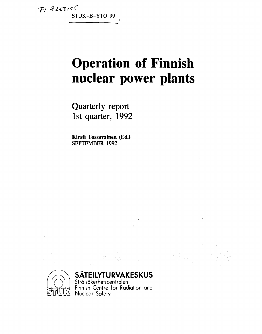$F19200105$ **STUK-B-YTO 99** 

# **Operation of Finnish nuclear power plants**

**Quarterly report 1st quarter, 1992** 

**Kirsti Tossavainen (Ed.) SEPTEMBER 1992** 



# **SÄTEILYTURVAKESKUS**

Strälsäkerhetscentralen  $\sum_{\mathbf{r}}$   $\sum_{\mathbf{r}}$  Finnish Centre for Radiation and SILLUIN Nuclear Satety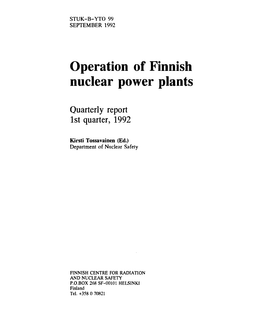# **Operation of Finnish nuclear power plants**

Quarterly report 1st quarter, 1992

**Kirsti Tossavainen (Ed.)**  Department of Nuclear Safety

FINNISH CENTRE FOR RADIATION AND NUCLEAR SAFETY P.O.BOX 268 SF-00101 HELSINKI Finland Tel. +358 0 70821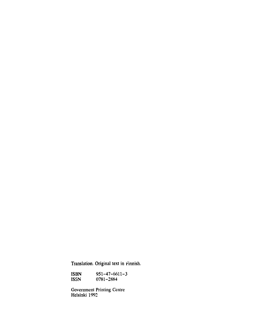Translation. Original text in Finnish.

ISBN 951-47-6611-3<br>ISSN 0781-2884 0781-2884

Government Printing Centre Helsinki 1992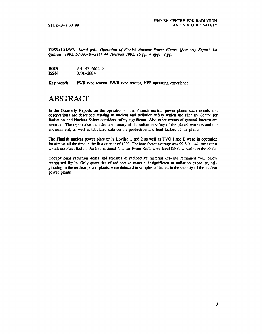TOSSAVAINEN, Kirsti (ed.). Operation of Finnish Nuclear Power Plants. Quarterly Report, 1st *Quarter. 1992. STUK-B-YTO 99. Helsinki 1992. 16 pp. + apps. 2 pp.* 

| <b>ISBN</b> | $951 - 47 - 6611 - 3$ |
|-------------|-----------------------|
| <b>ISSN</b> | 0781-2884             |

**Key words PWR** type reactor, **BWR** type reactor, NPP operating experience

# ABSTRACT

In the Quarterly Reports on the operation of the Finnish nuclear power plants such events and observations are described relating to nuclear and radiation safety which the Finnish Centre for Radiation and Nuclear Safety considers safety significant. Also other events of general interest are reported. The report also includes a summary of the radiation safety of the plants' workers and the environment, as well as tabulated data on the production and load factors of the plants.

The Finnish nuclear power plant units Loviisa 1 and 2 as well as TVO I and II were in operation for almost all the time in the first quarter of 1992. The load factor average was 99.8 *%.* All the events which are classified on the International Nuclear Event Scale were level 0/below scale on the Scale.

Occupational radiation doses and releases of radioactive material off-site remained well below authorised limits. Only quantities of radioactive material insignificant to radiation exposure, originating in the nuclear power plants, were detected in samples collected in the vicinity of the nuclear power plants.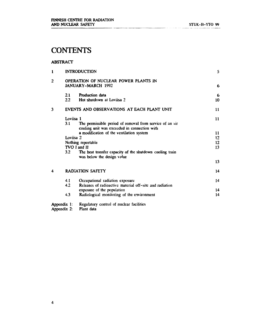# **CONTENTS**

#### **ABSTRACT**

| $\mathbf{1}$   |             | <b>INTRODUCTION</b>                                        | 5               |
|----------------|-------------|------------------------------------------------------------|-----------------|
| $\overline{2}$ |             | OPERATION OF NUCLEAR POWER PLANTS IN<br>JANUARY-MARCH 1992 | 6               |
|                |             |                                                            |                 |
|                | 2.1         | Production data                                            | 6               |
|                | 2.2         | Hot shutdown at Loviisa 2                                  | 10 <sup>°</sup> |
| 3              |             | EVENTS AND OBSERVATIONS AT EACH PLANT UNIT                 | 11              |
|                | Loviisa 1   |                                                            | 11              |
|                | 3.1         | The permissible period of removal from service of an air   |                 |
|                |             | cooling unit was exceeded in connection with               |                 |
|                |             | a modification of the ventilation system                   | $\mathbf{11}$   |
|                | Loviisa 2   |                                                            | 12 <sup>2</sup> |
|                |             | Nothing reportable                                         | 12 <sup>2</sup> |
|                |             | TVO I and II                                               | 13              |
|                | 3.2         | The heat transfer capacity of the shutdown cooling train   |                 |
|                |             | was below the design value                                 |                 |
|                |             |                                                            | 13              |
| 4              |             | <b>RADIATION SAFETY</b>                                    | 14              |
|                | 4.1         | Occupational radiation exposure                            | 14              |
|                | 4.2         | Releases of radioactive material off-site and radiation    |                 |
|                |             | exposure of the population                                 | 14              |
|                | 4.3         | Radiological monitoring of the environment                 | 14              |
|                | Appendix 1: | Regulatory control of nuclear facilities                   |                 |
|                | Appendix 2: | Plant data                                                 |                 |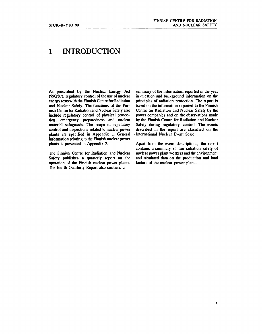# **1 INTRODUCTION**

**As prescribed by the Nuclear Energy Act (990/87), regulatory control of the use of nuclear energy rests with the Finnish Centre for Radiation and Nuclear Safety. The functions of the Finnish Centre for Radiation and Nuclear Safety also include regulatory control of physical protection, emergency preparedness and nuclear material safeguards. The scope of regulatory control and inspections related to nuclear power plants are specified in Appendix 1. General information relating to the Finnish nuclear power plants is presented in Appendix 2.** 

**The Finnish Centre for Radiation and Nuclear Safety publishes a quarterly report on the operation of the Finnish nuclear power plants. The fourth Quarterly Report also contains a** 

**summary of the information reported in the year in question and background information on the principles of radiation protection. The report is based on the information reported to the Finnish Centre for Radiation and Nuclear Safety by the power companies and on the observations made by the Finnish Centre for Radiation and Nuclear Safety during regulatory control. The events described in the report are classified on the .International Nuclear Event Scale.** 

**Apart from the event descriptions, the report contains a summary of the radiation safety of nuclear power plant workers and the environment and tabulated data on the production and load factors of the nuclear power plants.**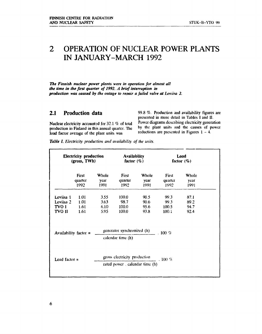## **OPERATION OF NUCLEAR POWER PLANTS**   $\overline{2}$ **IN JANUARY-MARCH 1992**

*The Finnish nuclear power plants were in operation for almost all the time in the first quarter of 1992. A brief interruption in production was caused by the outage to repair a failed valve at Loviisa 2.* 

## **2.1 Production data**

**Nuclear electricity accounted for 32.1** *%* **of total production in Finland in this annual quarter. The load factor average of the plant units was** 

**99.8** *%.* **Production and availability figures are presented in more detail in Tables I and II. Power diagrams describing electricity generation by the plant units and the causes of power reductions are presented in Figures 1 - 4.** 

*Table I. Electricity production and availability of the units.* 

| <b>Electricity production</b> |                         |       | <b>Availability</b>                                             |       | Load               |       |
|-------------------------------|-------------------------|-------|-----------------------------------------------------------------|-------|--------------------|-------|
| (gross, TWh)                  |                         |       | factor $(\%)$                                                   |       | factor $(\%)$      |       |
|                               | First                   | Whole | First                                                           | Whole | First              | Whole |
|                               | quarter                 | year  | quarter                                                         | year  | quarter            | year  |
|                               | 1992                    | 1991  | 1992                                                            | 1991  | 1992               | 1991  |
| Lovijsa 1                     | 1.01                    | 3.55  | 100.0                                                           | 90.5  | 99.3               | 87.1  |
| Loviisa 2                     | 1.01                    | 3.63  | 98.7                                                            | 90.6  | 99.3               | 89.2  |
| TVO I                         | 1.61                    | 6.10  | 100.0                                                           | 95.6  | 100.5              | 94.7  |
| tvo ii                        | 1.61                    | 5.95  | 100.0                                                           | 93.8  | 100.1              | 92.4  |
|                               | Availability factor $=$ |       | generator synchronized (h)<br>calendar time (h)                 |       | $\therefore$ 100 % |       |
| Load factor $=$               |                         |       | gross electricity production<br>rated power . calendar time (h) |       | . 100 $%$          |       |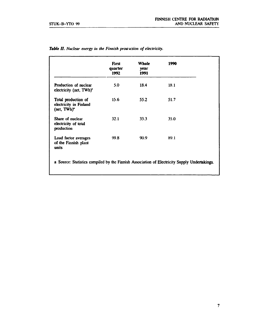|                                                                          | <b>First</b><br>quarter<br>1992 | Whole<br>year<br>1991 | 1990 |
|--------------------------------------------------------------------------|---------------------------------|-----------------------|------|
| <b>Production of nuclear</b><br>electricity (net, TWh) <sup>*</sup>      | 5.0                             | 18.4                  | 18.1 |
| Total production of<br>electricity in Finland<br>(net, TWh) <sup>*</sup> | 15.6                            | 55.2                  | 51.7 |
| Share of nuclear<br>electricity of total<br>production                   | 32.1                            | 33.3                  | 35.0 |
| Load factor averages<br>of the Finnish plant<br>units                    | 99.8                            | 90.9                  | 89.1 |

| Table II. Nuclear energy in the Finnish proauction of electricity. |  |  |  |
|--------------------------------------------------------------------|--|--|--|
|--------------------------------------------------------------------|--|--|--|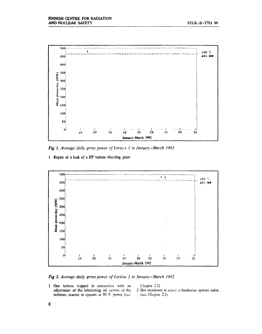

*Fig 1. Average daily gross power of Loviisa 1 in January-March. 1992.* 

I Repair of a leak of a HP turbine bleeding point



*Fig 2. Average daily gross power of Loviisa 2 in January-March 1992.* 

1 One turbine tripped in connection with an Chapter 2.2) adjustment of the lubricating oil system of the 2 Hot shutdown turbines, reactor to operate at 50 % power (see

2 Hot shutdown to repair a feedwater system valve (see Chapter  $2.2$ )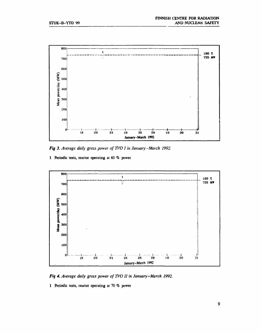

*Fig 3. Average daily gross power of TVO I in January-March 1992.* 

**1 Periodic tests, reactor operating at 65 % power** 



*Fig 4. Average daily gross power of TVO II in January-March 1992.* 

**1 Periodic tests, reactor operating at 70 % power**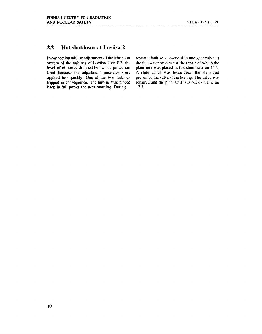## **2.2 Hot shutdown at Loviisa 2**

In connection with an adjustment of the lubriation system of the turbines of Loviisa 2 on 8.3. the level of oil tanks dropped below the protection limit because the adjustment measures were applied too quickly. One of the wo turbines tripped in consequence. The turbine was placed back in full power the next morning. During

restart a fault was observed in one gate valve of the feedwater system for the repair of which the plant unit was placed in hot shutdown on 11.3. A slide which was loose from the stem had prevented the valve's functioning. The valve was repaired and the plant unit was back on line on 12.3.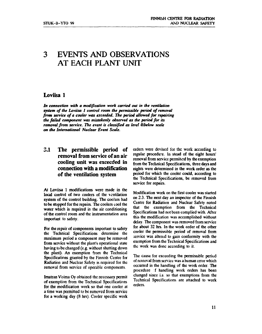# **3 EVENTS AND OBSERVATIONS AT EACH PLANT UNIT**

#### **Loviisa 1**

*In connection with a modification work carried out in the ventilation system of the Loviisa I control room the permissible period of removal from service of a cooler was exceeded. The period allowed for repairing the failed component was mistakenly observed as the period for its removal from service. The event is classified as level Olbelow scale on the International Nuclear Event Scale.* 

# **3.1 The permissible period of removal from service of an air cooling unit was exceeded in connection with a modification of the ventilation system**

**At Loviisa 1 modifications were made in the local control of two coolers of the ventilation system of the control building. The coolers had to be stopped for the repairs. The coolers cool the water which is required in the air conditioning of the control room and the instrumentation area important to safety.** 

**For the repair of components important to safety the Technical Specifications determine the maximum period a component may be removed from service without the plant's operational state having to be changed (e.g. without shutting down**  the plant). An exemption from the Technical **Specifications granted by the Finnish Centre for Radiation and Nuclear Safety is required for the removal from service of operable components.** 

**Imatran Voima Oy obtained the necessary permit of exemption from the Technical Specifications for the modification work so that one cooler at a time was permitted to be removed from service for a working day (8 hrs). Cooler specific work**  orders were devised for the work according to **regular procedure. In stead of the eight hours'**  removal from service permitted by the exemption **from the Technical Specifications, three days and nights were determined in the work order as the period for which the cooler could, according to the Technical Specifications, be removed from service for repairs.** 

**Modification work on the first cooler was started on 2.3. The next day an inspector of the Finnish Centre for Radiation and Nuclear Safety noted that the exemption from the Technical Specifications had not been complied with. After this the modification was accomplished without delay. The component was removed from service for about 32 hrs. In the work order of the other cooler the permissible period of removal from service was altered to gain conformity with the exemption from the Technical Specifications and the work was done according to it.** 

**The cause for exceeding the permissible period of removal from service was a human error which occurred in the handling of the work order. The procedure f handling work orders has been changed since i.a. so that exemptions from the Technical Specifications are attached to work orders.**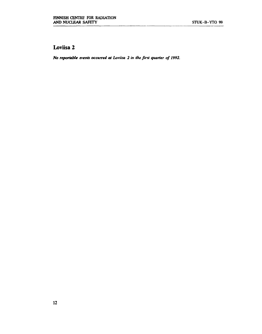# **Loviisa 2**

*No reportable events occurred at Loviisa 2 in the first quarter of 1992.*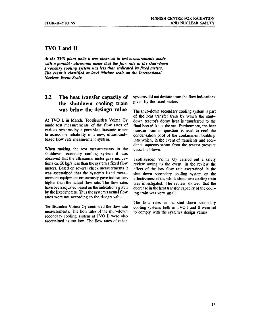## **TVO I and II**

*At the TVO plant units it was observed in test measurements made with a portabl: ultrasonic meter that the flow rate in the shut-down s'rondary cooling system was less than indicated by fixed meters. The event is classified as level 0/below scale on the International Nuclear Event Scale.* 

## **3.2 The heat transfer capacity of the shutdown cooling train was below the desingn value**

At TVO I, in March, Teollisuuden Voima Oy made test measurements of the flow rates of various systems by a portable ultrasonic meter to assess the reliability of a new, ultrasoundbased flow rate measurement system.

When making the test measurements in the shutdown secondary cooling system it was observed that the ultrasound meter gave indications ca. 20 kg/s less than the system's fixed flow meters. Based on several check measurements it was ascertained that the system's fixed measurement equipment erroneously gave indications higher than the actual flow rate. The flow rates have been adjusted based on the indications given by the fixed meters. Thus the system's actual flow rates were not according to the design value.

Teollisuuden Voima Oy continued the flow rate measurements. The flow rates of the shut-down secondary cooling system at TVO II were also ascertained as too low. The flow rates of other

systems did not deviate from the flow indications given by the fixed meters.

The shut-down secondary cooling system is part of the heat transfer train by which the shutdown reactor's decay heat is transferred to the final heat  $s^i$  k i.e. the sea. Furthermore, the heat transfer train in question is used to cool the condensation pool of the containment building into which, in the event of transients and  $acci$ dents, aqueous steam from the reactor pressure vessel is blown.

Teollisuuden Voima Oy carried out a safety review owing to the event. In the review the effect of the low flow rate ascertained in the shut-down secondary cooling system on the effectiveness of the whole shutdown cooling train was investigated. The review showed that the decrease in the heat transfer capacity of the cooling train was very small.

The flow rates in the shut-down secondary cooling systems both in TVO I and II were set to comply with the system's design values.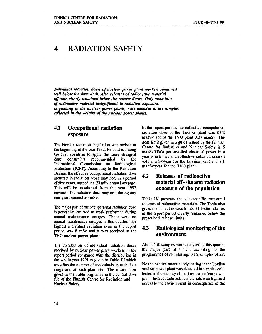# **4 RADIATION SAFETY**

*Individual radiation doses of nuclear power plant workers remained will below the dose limit. Also releases of radioactive material off-site clearly remained below the release limits. Only quantities of radioactive material insignificant to radiation exposure, originating in the nuclear power plants, were detected in the samples collected in the vicinity of the nuclear power plants.* 

### **4.1 Occupational radiation exposure**

**The Finnish radiation legislation was revised at the beginning of the year 1992. Finland is among the first countries to apply the more stringent dose constraints recommended by the International Commission on Radiological Protection (ICRP). According to the Radiation Decree, the effective occupational radiation dose incurred in radiation work may not, in a period of five years, exceed the 20 mSv annual average. This will be monitored from the year 1992 onward. The radiation dose may not, during any one year, exceed 50 mSv.** 

**The major part of the occupational radiation dose is generally incurred in work performed during annual maintenance outages. There were no annual maintenance outages in this quarter. The highest individual radiation dose in the report period was 8 mSv and it was received at the TVO nuclear power plant.** 

**The distribution of individual radiation doses received by nuclear power plant workers in the report period compared with the distribution in the whole year 1991 is given in Table III which specifies the number of individuals in each dose range and at each plant site. The information given in the Table originates in the central dose file of the Finnish Centre for Radiation and Nuclear Safety.** 

**In the report period, the collective occupational radiation dose at the Loviisa plant was 0.02 manSv and at the TVO plant 0.07 manSv. The dose limit given in a guide issued by the Finnish Centre for Radiation and Nuclear Safety is 5 manSv/GWe per installed electrical power in a year which means a collective radiation dose of 4.45 manSv/year for the Loviisa plant and 7.1 manSv/year for the TVO plant.** 

## **4.2 Releases of radioactive material off-site and radiation exposure of the population**

**Table IV presents the site-specific measured releases of radioactive materials. The Table also gives the annual release limits. Off-site releases in the report period clearly remained below the prescribed release limits.** 

#### **4.3 Radiological monitoring of the environment**

**About 140 samples were analysed in this quarter the major part of which, according to the programmes of monitoring, were samples of air.** 

**No radioactive material originating in the Loviisa nuclear power plant was detected in samples collected in the vicinity of the Loviisa nuclear power plant. Instead, radioactive materials which gained access to the environment in consequence of the**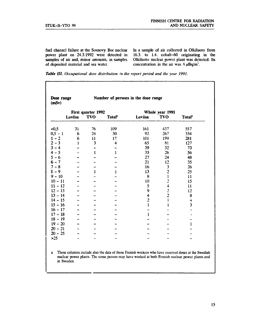**fuel channel failure at the Sosnovy Bor nuclear power plant on 24.3.1992 were detected in samples of air and, minor amounts, in samples of deposited material and sea water.** 

**In a sample of air collected in Olkiluoto from 16.3. to 1.4. cobalt-60 originating in the Olkiluoto nuclear power plant was detected. Its**  concentration in the air was  $4 \mu\text{Bq/m}^2$ .

*Table III. Occupational dose distribution in the report period and the year 1991.* 

| Dose range<br>(mSv) |              |               | Number of persons in the dose range |                         |                         |                    |
|---------------------|--------------|---------------|-------------------------------------|-------------------------|-------------------------|--------------------|
| First quarter 1992  |              |               | Whole year 1991                     |                         |                         |                    |
|                     | Loviisa      | <b>TVO</b>    | Total <sup>*</sup>                  | Loviisa                 | <b>TVO</b>              | Total <sup>*</sup> |
| <0,5                | 31           | 76            | 109                                 | 161                     | 437                     | 557                |
| $0,5 - 1$           | 6            | 24            | 30                                  | 92                      | 267                     | 334                |
| $1 - 2$             | 6            | $\mathbf{11}$ | 17                                  | 101                     | 199                     | 281                |
| $2 - 3$             | $\mathbf{1}$ | 3             | $\overline{\mathbf{4}}$             | 65                      | 81                      | 127                |
| $3 - 4$             |              |               |                                     | 39                      | 32                      | 73                 |
| $4 - 5$             |              | 1             | $\mathbf{1}$                        | 33                      | 26                      | 56                 |
| $5 - 6$             |              |               |                                     | 27                      | 24                      | 48                 |
| $6 - 7$             |              |               |                                     | 21                      | 12                      | 35                 |
| $7 - 8$             |              |               |                                     | 16                      | 3                       | 26                 |
| $\epsilon$ – 9      |              | $\mathbf{1}$  | $\mathbf{1}$                        | 13                      | $\overline{\mathbf{c}}$ | 25                 |
| $9 - 10$            |              |               |                                     | 8                       | $\mathbf{I}$            | 11                 |
| $10 - 11$           |              |               |                                     | 10                      | $\overline{c}$          | 15                 |
| $11 - 12$           |              |               |                                     | 5                       | $\overline{\mathbf{4}}$ | 11                 |
| $12 - 13$           |              |               |                                     | 9                       |                         | 12                 |
| $13 - 14$           |              |               |                                     | 4                       | $\frac{2}{2}$           | 8                  |
| $14 - 15$           |              |               |                                     | $\overline{\mathbf{c}}$ | $\mathbf{I}$            | 4                  |
| $15 - 16$           |              |               |                                     | $\mathbf{1}$            | 1                       | 3                  |
| $16 - 17$           |              |               |                                     |                         |                         |                    |
| $17 - 18$           |              |               |                                     | $\mathbf{1}$            |                         |                    |
| $18 - 19$           |              |               |                                     |                         |                         |                    |
| $19 - 20$           |              |               |                                     |                         |                         | $\mathbf{1}$       |
| $20 - 21$           |              |               |                                     |                         |                         |                    |
| $20 - 25$           |              |               |                                     |                         |                         |                    |
| $>25$               |              |               |                                     |                         |                         |                    |

columns include also the data of those Finnish workers who have received doses at the Swedish nuclear power plants. The same person may have worked at both Finnish nuclear power plants and in Sweden.

**15**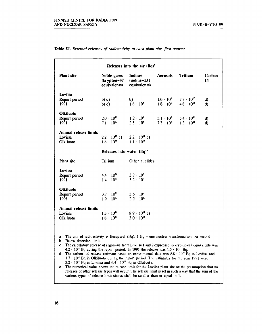|                                                                                                                                                                                                                                                                                                                                                                                                                                                                                                                                                                                     |                                                                      | Releases into the air (Bq)*                      |                                          |                                                             |              |
|-------------------------------------------------------------------------------------------------------------------------------------------------------------------------------------------------------------------------------------------------------------------------------------------------------------------------------------------------------------------------------------------------------------------------------------------------------------------------------------------------------------------------------------------------------------------------------------|----------------------------------------------------------------------|--------------------------------------------------|------------------------------------------|-------------------------------------------------------------|--------------|
| <b>Plant</b> site                                                                                                                                                                                                                                                                                                                                                                                                                                                                                                                                                                   | Noble gases<br>(krypton-87<br>equivalents)                           | <b>Iodines</b><br>$(iodine-131)$<br>equivalents) | <b>Aerosols</b>                          | <b>Tritium</b>                                              | Carbon<br>14 |
| Loviisa<br>Report period<br>1991                                                                                                                                                                                                                                                                                                                                                                                                                                                                                                                                                    | b) c)<br>b) c)                                                       | b)<br>$1.6 \cdot 10^{8}$                         | $1.6 \cdot 10^{6}$<br>$1.8 \cdot 10^{8}$ | $7.7 \cdot 10^{10}$<br>$4.8 \cdot 10^{11}$                  | d)<br>d)     |
| Olkiluoto<br>Report period<br>1991                                                                                                                                                                                                                                                                                                                                                                                                                                                                                                                                                  | $2.0 \cdot 10^{11}$<br>$7.1 \cdot 10^{12}$                           | $1.2 \cdot 10^{7}$<br>$2.5 \cdot 10^8$           | $5.1 \cdot 10^7$                         | $5.4 \cdot 10^{10}$<br>$7.3 \cdot 10^5$ $1.3 \cdot 10^{11}$ | d)<br>d)     |
| Annual release limits<br>Loviisa<br><b>Olkiluoto</b>                                                                                                                                                                                                                                                                                                                                                                                                                                                                                                                                | $2.2 \cdot 10^{16}$ e) $2.2 \cdot 10^{11}$ e)<br>$1.8 \cdot 10^{16}$ | $1.1 \cdot 10^{11}$                              |                                          |                                                             |              |
|                                                                                                                                                                                                                                                                                                                                                                                                                                                                                                                                                                                     | Releases into water (Bq) <sup>*</sup>                                |                                                  |                                          |                                                             |              |
| Plant site                                                                                                                                                                                                                                                                                                                                                                                                                                                                                                                                                                          | <b>Tritium</b>                                                       | Other nuclides                                   |                                          |                                                             |              |
| Loviisa<br>Report period<br>1991                                                                                                                                                                                                                                                                                                                                                                                                                                                                                                                                                    | $4.4 \cdot 10^{12}$<br>$1.4 \cdot 10^{13}$                           | $3.7 \cdot 10^{6}$<br>$5.2 \cdot 10^9$           |                                          |                                                             |              |
| <b>Olkiluoto</b><br>Report period<br>1991                                                                                                                                                                                                                                                                                                                                                                                                                                                                                                                                           | $3.7 \cdot 10^{11}$<br>$1.9 \cdot 10^{12}$                           | $3.5 \cdot 10^{9}$<br>$2.2 \cdot 10^{10}$        |                                          |                                                             |              |
| Annual release limits<br>Loviisa<br>Olkiluoto                                                                                                                                                                                                                                                                                                                                                                                                                                                                                                                                       | $1.5 \cdot 10^{14}$<br>$1.8 \cdot 10^{13}$                           | $8.9 \cdot 10^{11}$ e)<br>$3.0 \cdot 10^{11}$    |                                          |                                                             |              |
| The unit of radioactivity is Becquerel (Bq); $1 \text{ Bq}$ = one nuclear transformation per second.<br>a<br>Below detection limit.<br>b.<br>The calculatory release of argon-41 from Loviisa 1 and 2 expressed as krypton-87 equivalents was<br>$\mathbf{c}$<br>$4.2 \cdot 10^{11}$ Bq during the report period. In 1991 the release was $1.5 \cdot 10^{12}$ Bq.<br>The carbon-14 release estimate based on experimental data was $8.8 \cdot 10^{10}$ Bq in Loviisa and<br>d<br>$1.7 \cdot 10^{11}$ Bq in Olkiluoto during the report period. The estimates for the year 1991 were |                                                                      |                                                  |                                          |                                                             |              |

#### *Table IV. External releases of radioactivity at each plant site, first quarter.*

 $3.2 \cdot 10^{11}$  Bq in Loviisa and  $6.4 \cdot 10^{11}$  Bq in Olkiluoto.

e The numerical value shows the release limit for the Loviisa plant site on Ihe presumption that no releases of other release types will occur. The release limit is set in such a way that Ihc sum of the various types of release limit shares shall be smaller than or equal to 1.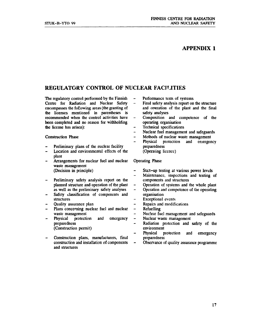## **APPENDIX 1**

# **REGULATORY CONTROL OF NUCLEAR FACILITIES**

**The regulatory control performed by the Finnish Centre for Radiation and Nuclear Safety encompasses the following areas (the granting of the licenses mentioned in parentheses is recommended when the control activities have been completed and no reason for withholding the license has arisen):** 

**Construction Phase** 

- **Preliminary plans of the nuclear facility**
- **Location and environmental effects of the plant**
- **Arrangements for nuclear fuel and nuclear waste management (Decision in principle)**
- **Preliminary safety analysis report on the planned structure and operation of the plant as well as the preliminary safety analyses**
- **Safety classification of components and structures**
- **Quality assurance plan**
- **Plans concerning nuclear fuel and nuclear waste management**
- **Physical protection and emergency preparedness (Construction permit)**
- **Construction plans, manufacturers, final construction and installation of components and structures**
- $\overline{\phantom{a}}$ **Performance tests of systems**
- **Final safety analysis report on the structure**   $\qquad \qquad$ **and operation of the plant and the final safety analyses**
- **Composition and competence of the**   $\overline{\phantom{a}}$ **operating organisation**
- **Technical specifications**
- **Nuclear fuel management and safeguards**   $\overline{a}$
- **Methods of nuclear waste management**   $\overline{a}$
- **Physical protection and emergency preparedness (Operating licence)**

**Operating Phase** 

- **Start-up testing at various power levels**
- **Maintenance, inspections and testing of**   $\overline{a}$ **components and structures**
- $\overline{\phantom{0}}$ **Operation of systems and the whole plant**
- $\overline{\phantom{0}}$ **Operation and competence of the operating organisation**
- **Exceptional events**   $\overline{a}$
- $\overline{a}$ **Repairs and modifications**
- **Refuelling**   $\overline{a}$

 $\overline{\phantom{0}}$ 

- **Nuclear fuel management and safeguards**
- $\overline{\phantom{0}}$ **Nuclear waste management**
- **Radiation protection and safety of the**   $\overline{a}$ **environment**
- **Physical protection and emergency preparedness**
- **Observance of quality assurance programme**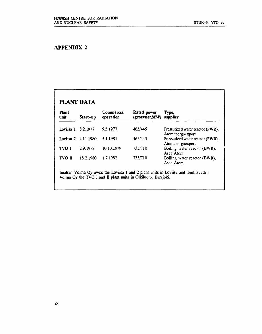# **APPENDIX 2**

| <b>Plant</b><br>unit | Start-up            | Commercial<br>operation | Rated power<br>(gross/net,MW) | Type,<br>supplier                                    |
|----------------------|---------------------|-------------------------|-------------------------------|------------------------------------------------------|
| Loviisa 1            | 8.2.1977            | 9.5.1977                | 465/445                       | Pressurized water reactor (PWR),<br>Atomenergoexport |
|                      | Loviisa 2 4.11.1980 | 5.1.1981                | 465/445                       | Pressurized water reactor (PWR),<br>Atomenergoexport |
| TVO I                | 2.9.1978            | 10.10.1979              | 735/710                       | Boiling water reactor (BWR),<br>Asea Atom            |
| <b>TVO II</b>        | 18.2.1980           | 1.7.1982                | 735/710                       | Boiling water reactor (BWR),<br>Asea Atom            |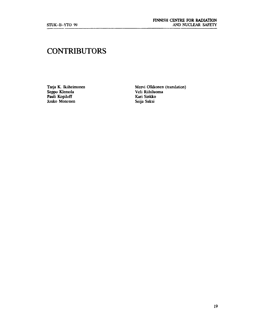# **CONTRIBUTORS**

**Pauli Kopiloff**<br> **Pauli Kopiloff**<br> **Pauli Kopiloff**<br> **Pauli Kopiloff**<br> **Pauli Kopiloff**<br> **Pauli Kopiloff**<br> **Pauli Kari Sinkko**<br> **Pauli Kopiloff**<br> **Pauli Kari Sinkko**<br> **Pauli Rightary**<br> **Pauli Rightary**<br> **Pauli Rightary**<br> **Jouko Mononen** 

Tarja K. Ikäheimonen **Mervi Olkkonen (translation)** Veli Riihiluoma<br>Kari Sinkko